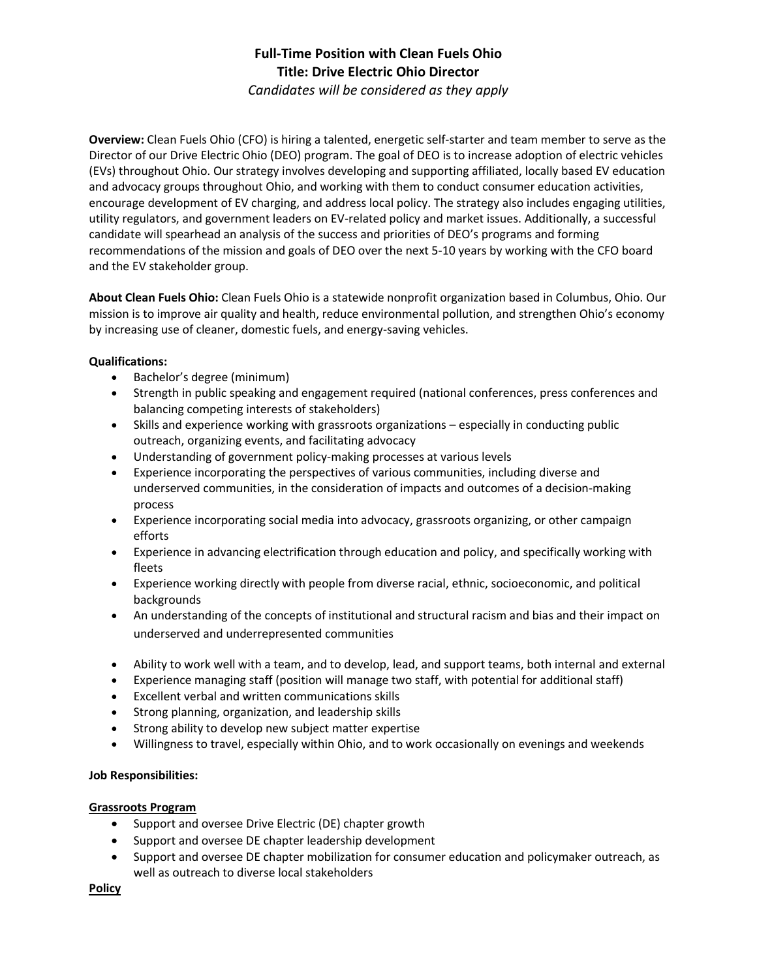# **Full-Time Position with Clean Fuels Ohio Title: Drive Electric Ohio Director**

*Candidates will be considered as they apply*

**Overview:** Clean Fuels Ohio (CFO) is hiring a talented, energetic self-starter and team member to serve as the Director of our Drive Electric Ohio (DEO) program. The goal of DEO is to increase adoption of electric vehicles (EVs) throughout Ohio. Our strategy involves developing and supporting affiliated, locally based EV education and advocacy groups throughout Ohio, and working with them to conduct consumer education activities, encourage development of EV charging, and address local policy. The strategy also includes engaging utilities, utility regulators, and government leaders on EV-related policy and market issues. Additionally, a successful candidate will spearhead an analysis of the success and priorities of DEO's programs and forming recommendations of the mission and goals of DEO over the next 5-10 years by working with the CFO board and the EV stakeholder group.

**About Clean Fuels Ohio:** Clean Fuels Ohio is a statewide nonprofit organization based in Columbus, Ohio. Our mission is to improve air quality and health, reduce environmental pollution, and strengthen Ohio's economy by increasing use of cleaner, domestic fuels, and energy-saving vehicles.

#### **Qualifications:**

- Bachelor's degree (minimum)
- Strength in public speaking and engagement required (national conferences, press conferences and balancing competing interests of stakeholders)
- Skills and experience working with grassroots organizations especially in conducting public outreach, organizing events, and facilitating advocacy
- Understanding of government policy-making processes at various levels
- Experience incorporating the perspectives of various communities, including diverse and underserved communities, in the consideration of impacts and outcomes of a decision-making process
- Experience incorporating social media into advocacy, grassroots organizing, or other campaign efforts
- Experience in advancing electrification through education and policy, and specifically working with fleets
- Experience working directly with people from diverse racial, ethnic, socioeconomic, and political backgrounds
- An understanding of the concepts of institutional and structural racism and bias and their impact on underserved and underrepresented communities
- Ability to work well with a team, and to develop, lead, and support teams, both internal and external
- Experience managing staff (position will manage two staff, with potential for additional staff)
- Excellent verbal and written communications skills
- Strong planning, organization, and leadership skills
- Strong ability to develop new subject matter expertise
- Willingness to travel, especially within Ohio, and to work occasionally on evenings and weekends

#### **Job Responsibilities:**

#### **Grassroots Program**

- Support and oversee Drive Electric (DE) chapter growth
- Support and oversee DE chapter leadership development
- Support and oversee DE chapter mobilization for consumer education and policymaker outreach, as well as outreach to diverse local stakeholders

**Policy**